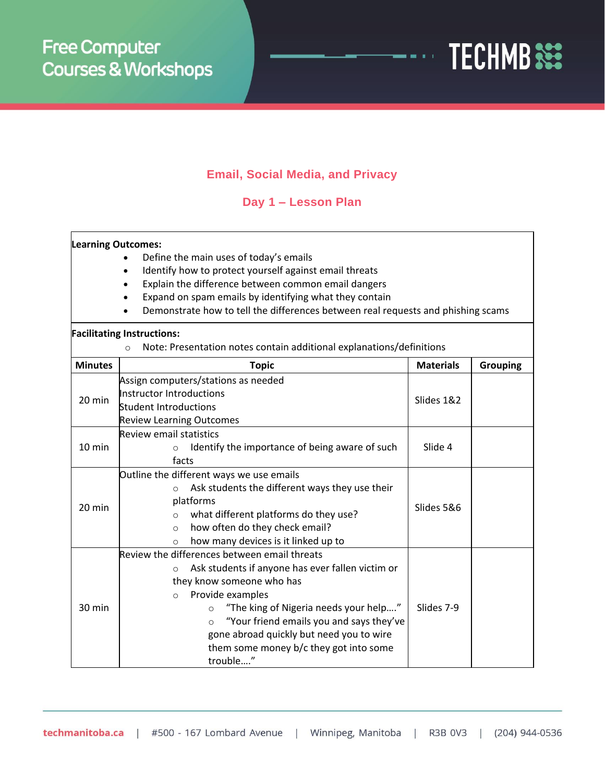

## **Email, Social Media, and Privacy**

**Day 1 – Lesson Plan**

## **Learning Outcomes:**

- Define the main uses of today's emails
- Identify how to protect yourself against email threats
- Explain the difference between common email dangers
- Expand on spam emails by identifying what they contain
- Demonstrate how to tell the differences between real requests and phishing scams

## **Facilitating Instructions:**

o Note: Presentation notes contain additional explanations/definitions

| <b>Minutes</b>   | <b>Topic</b>                                                 | <b>Materials</b> | <b>Grouping</b> |
|------------------|--------------------------------------------------------------|------------------|-----------------|
| 20 min           | Assign computers/stations as needed                          |                  |                 |
|                  | Instructor Introductions                                     | Slides 1&2       |                 |
|                  | <b>Student Introductions</b>                                 |                  |                 |
|                  | <b>Review Learning Outcomes</b>                              |                  |                 |
| $10 \text{ min}$ | <b>Review email statistics</b>                               |                  |                 |
|                  | Identify the importance of being aware of such<br>$\circ$    | Slide 4          |                 |
|                  | facts                                                        |                  |                 |
| 20 min           | Outline the different ways we use emails                     |                  |                 |
|                  | Ask students the different ways they use their<br>$\circ$    | Slides 5&6       |                 |
|                  | platforms                                                    |                  |                 |
|                  | what different platforms do they use?<br>$\circ$             |                  |                 |
|                  | how often do they check email?<br>$\Omega$                   |                  |                 |
|                  | how many devices is it linked up to<br>$\circ$               |                  |                 |
| $30 \text{ min}$ | Review the differences between email threats                 |                  |                 |
|                  | Ask students if anyone has ever fallen victim or<br>$\Omega$ |                  |                 |
|                  | they know someone who has                                    |                  |                 |
|                  | Provide examples<br>$\bigcirc$                               |                  |                 |
|                  | "The king of Nigeria needs your help"<br>$\Omega$            | Slides 7-9       |                 |
|                  | "Your friend emails you and says they've<br>$\Omega$         |                  |                 |
|                  | gone abroad quickly but need you to wire                     |                  |                 |
|                  | them some money b/c they got into some                       |                  |                 |
|                  | trouble"                                                     |                  |                 |